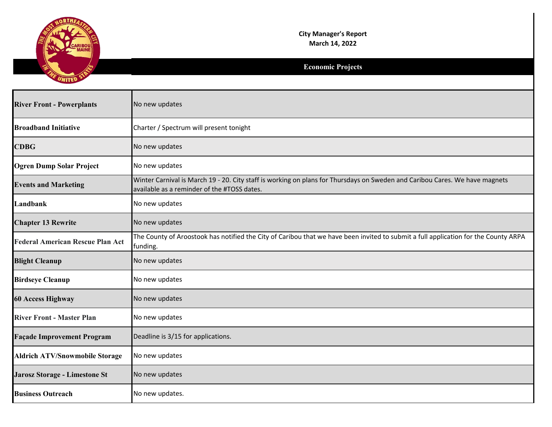

**City Manager's Report March 14, 2022**

|                                         | <b>Economic Projects</b>                                                                                                                                                   |
|-----------------------------------------|----------------------------------------------------------------------------------------------------------------------------------------------------------------------------|
|                                         |                                                                                                                                                                            |
| <b>River Front - Powerplants</b>        | No new updates                                                                                                                                                             |
| <b>Broadband Initiative</b>             | Charter / Spectrum will present tonight                                                                                                                                    |
| <b>CDBG</b>                             | No new updates                                                                                                                                                             |
| <b>Ogren Dump Solar Project</b>         | No new updates                                                                                                                                                             |
| <b>Events and Marketing</b>             | Winter Carnival is March 19 - 20. City staff is working on plans for Thursdays on Sweden and Caribou Cares. We have magnets<br>available as a reminder of the #TOSS dates. |
| Landbank                                | No new updates                                                                                                                                                             |
| <b>Chapter 13 Rewrite</b>               | No new updates                                                                                                                                                             |
| <b>Federal American Rescue Plan Act</b> | The County of Aroostook has notified the City of Caribou that we have been invited to submit a full application for the County ARPA<br>funding.                            |
| <b>Blight Cleanup</b>                   | No new updates                                                                                                                                                             |
| <b>Birdseye Cleanup</b>                 | No new updates                                                                                                                                                             |
| <b>60 Access Highway</b>                | No new updates                                                                                                                                                             |
| <b>River Front - Master Plan</b>        | No new updates                                                                                                                                                             |
| <b>Façade Improvement Program</b>       | Deadline is 3/15 for applications.                                                                                                                                         |
| <b>Aldrich ATV/Snowmobile Storage</b>   | No new updates                                                                                                                                                             |
| <b>Jarosz Storage - Limestone St</b>    | No new updates                                                                                                                                                             |
| <b>Business Outreach</b>                | No new updates.                                                                                                                                                            |